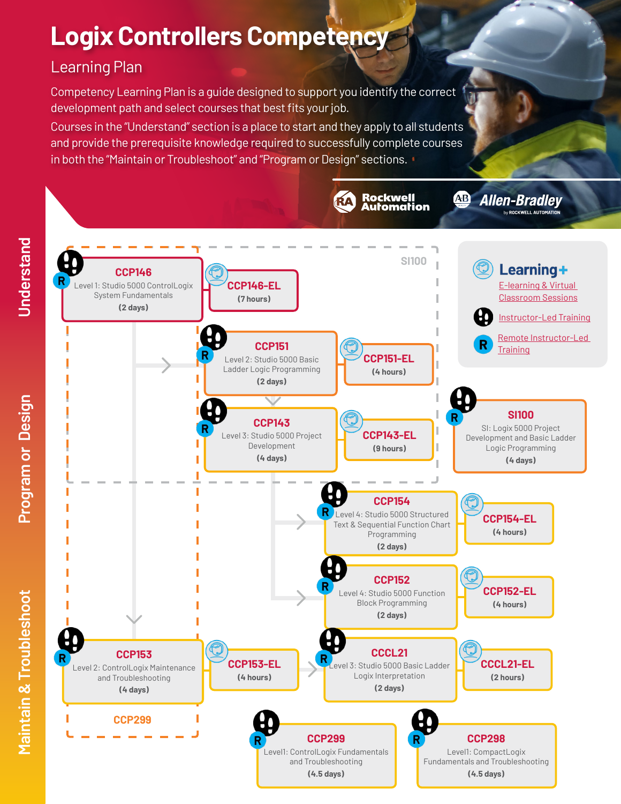# **Logix Controllers Competency**

# Learning Plan

Competency Learning Plan is a guide designed to support you identify the correct development path and select courses that best fits your job.

Courses in the "Understand" section is a place to start and they apply to all students and provide the prerequisite knowledge required to successfully complete courses in both the "Maintain or Troubleshoot" and "Program or Design" sections.